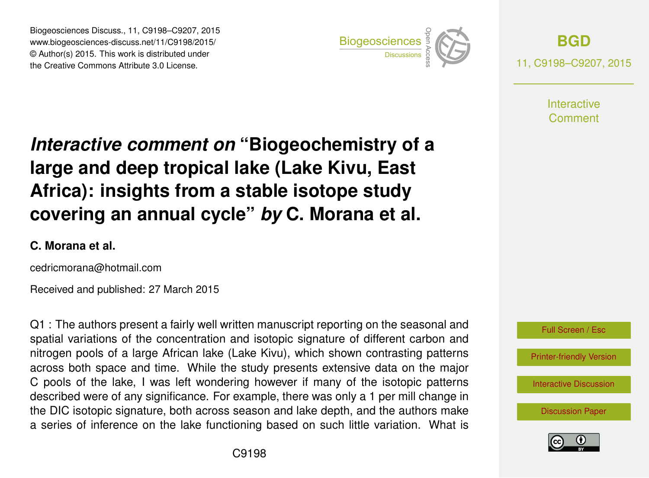Biogeosciences Discuss., 11, C9198–C9207, 2015 www.biogeosciences-discuss.net/11/C9198/2015/ © Author(s) 2015. This work is distributed under Biogeosciences Discuss., 11, C9198–C9207, 2015<br>
www.biogeosciences-discuss.net/11/C9198/2015/<br>
© Author(s) 2015. This work is distributed under<br>
the Creative Commons Attribute 3.0 License.



**[BGD](http://www.biogeosciences-discuss.net)** 11, C9198–C9207, 2015

> **Interactive** Comment

# *Interactive comment on* **"Biogeochemistry of a large and deep tropical lake (Lake Kivu, East Africa): insights from a stable isotope study covering an annual cycle"** *by* **C. Morana et al.**

#### **C. Morana et al.**

cedricmorana@hotmail.com

Received and published: 27 March 2015

Q1 : The authors present a fairly well written manuscript reporting on the seasonal and spatial variations of the concentration and isotopic signature of different carbon and nitrogen pools of a large African lake (Lake Kivu), which shown contrasting patterns across both space and time. While the study presents extensive data on the major C pools of the lake, I was left wondering however if many of the isotopic patterns described were of any significance. For example, there was only a 1 per mill change in the DIC isotopic signature, both across season and lake depth, and the authors make a series of inference on the lake functioning based on such little variation. What is



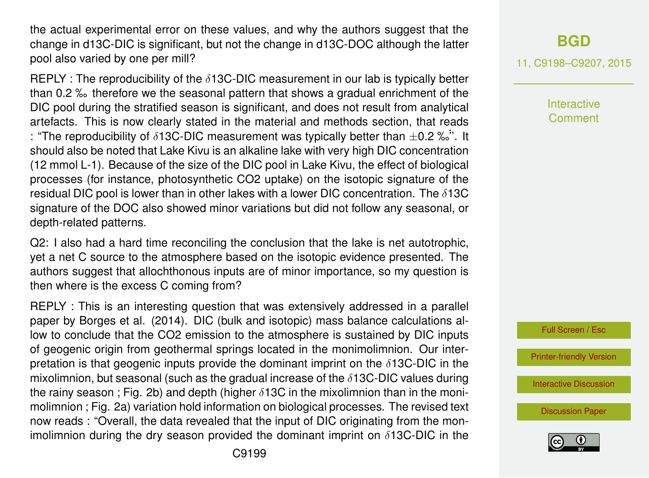the actual experimental error on these values, and why the authors suggest that the change in d13C-DIC is significant, but not the change in d13C-DOC although the latter pool also varied by one per mill?

REPLY : The reproducibility of the  $\delta$ 13C-DIC measurement in our lab is typically better than 0.2 ‰ therefore we the seasonal pattern that shows a gradual enrichment of the DIC pool during the stratified season is significant, and does not result from analytical artefacts. This is now clearly stated in the material and methods section, that reads : "The reproducibility of  $\delta$ 13C-DIC measurement was typically better than  $\pm$ 0.2 ‰". It should also be noted that Lake Kivu is an alkaline lake with very high DIC concentration (12 mmol L-1). Because of the size of the DIC pool in Lake Kivu, the effect of biological processes (for instance, photosynthetic CO2 uptake) on the isotopic signature of the residual DIC pool is lower than in other lakes with a lower DIC concentration. The  $\delta$ 13C signature of the DOC also showed minor variations but did not follow any seasonal, or depth-related patterns.

Q2: I also had a hard time reconciling the conclusion that the lake is net autotrophic, yet a net C source to the atmosphere based on the isotopic evidence presented. The authors suggest that allochthonous inputs are of minor importance, so my question is then where is the excess C coming from?

REPLY : This is an interesting question that was extensively addressed in a parallel paper by Borges et al. (2014). DIC (bulk and isotopic) mass balance calculations allow to conclude that the CO2 emission to the atmosphere is sustained by DIC inputs of geogenic origin from geothermal springs located in the monimolimnion. Our interpretation is that geogenic inputs provide the dominant imprint on the  $\delta$ 13C-DIC in the mixolimnion, but seasonal (such as the gradual increase of the  $\delta$ 13C-DIC values during the rainy season ; Fig. 2b) and depth (higher  $\delta$ 13C in the mixolimnion than in the monimolimnion ; Fig. 2a) variation hold information on biological processes. The revised text now reads : "Overall, the data revealed that the input of DIC originating from the monimolimnion during the dry season provided the dominant imprint on  $\delta$ 13C-DIC in the

# **[BGD](http://www.biogeosciences-discuss.net)**

11, C9198–C9207, 2015

**Interactive** Comment



[Printer-friendly Version](http://www.biogeosciences-discuss.net/11/C9198/2015/bgd-11-C9198-2015-print.pdf)

[Interactive Discussion](http://www.biogeosciences-discuss.net/11/17227/2014/bgd-11-17227-2014-discussion.html)

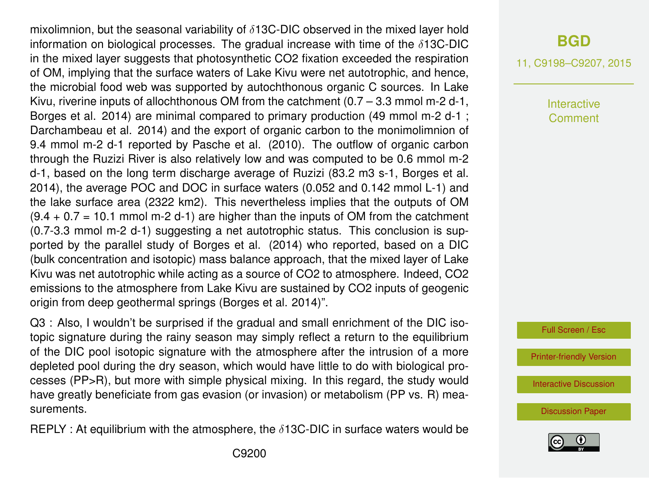mixolimnion, but the seasonal variability of  $\delta$ 13C-DIC observed in the mixed layer hold information on biological processes. The gradual increase with time of the  $\delta$ 13C-DIC in the mixed layer suggests that photosynthetic CO2 fixation exceeded the respiration of OM, implying that the surface waters of Lake Kivu were net autotrophic, and hence, the microbial food web was supported by autochthonous organic C sources. In Lake Kivu, riverine inputs of allochthonous OM from the catchment  $(0.7 - 3.3 \text{ mmol m-2 d-1})$ , Borges et al. 2014) are minimal compared to primary production (49 mmol m-2 d-1 ; Darchambeau et al. 2014) and the export of organic carbon to the monimolimnion of 9.4 mmol m-2 d-1 reported by Pasche et al. (2010). The outflow of organic carbon through the Ruzizi River is also relatively low and was computed to be 0.6 mmol m-2 d-1, based on the long term discharge average of Ruzizi (83.2 m3 s-1, Borges et al. 2014), the average POC and DOC in surface waters (0.052 and 0.142 mmol L-1) and the lake surface area (2322 km2). This nevertheless implies that the outputs of OM  $(9.4 + 0.7 = 10.1$  mmol m-2 d-1) are higher than the inputs of OM from the catchment (0.7-3.3 mmol m-2 d-1) suggesting a net autotrophic status. This conclusion is supported by the parallel study of Borges et al. (2014) who reported, based on a DIC (bulk concentration and isotopic) mass balance approach, that the mixed layer of Lake Kivu was net autotrophic while acting as a source of CO2 to atmosphere. Indeed, CO2 emissions to the atmosphere from Lake Kivu are sustained by CO2 inputs of geogenic origin from deep geothermal springs (Borges et al. 2014)".

Q3 : Also, I wouldn't be surprised if the gradual and small enrichment of the DIC isotopic signature during the rainy season may simply reflect a return to the equilibrium of the DIC pool isotopic signature with the atmosphere after the intrusion of a more depleted pool during the dry season, which would have little to do with biological processes (PP>R), but more with simple physical mixing. In this regard, the study would have greatly beneficiate from gas evasion (or invasion) or metabolism (PP vs. R) measurements.

REPLY : At equilibrium with the atmosphere, the  $\delta$ 13C-DIC in surface waters would be

## **[BGD](http://www.biogeosciences-discuss.net)**

11, C9198–C9207, 2015

**Interactive** Comment

Full Screen / Esc

[Printer-friendly Version](http://www.biogeosciences-discuss.net/11/C9198/2015/bgd-11-C9198-2015-print.pdf)

[Interactive Discussion](http://www.biogeosciences-discuss.net/11/17227/2014/bgd-11-17227-2014-discussion.html)

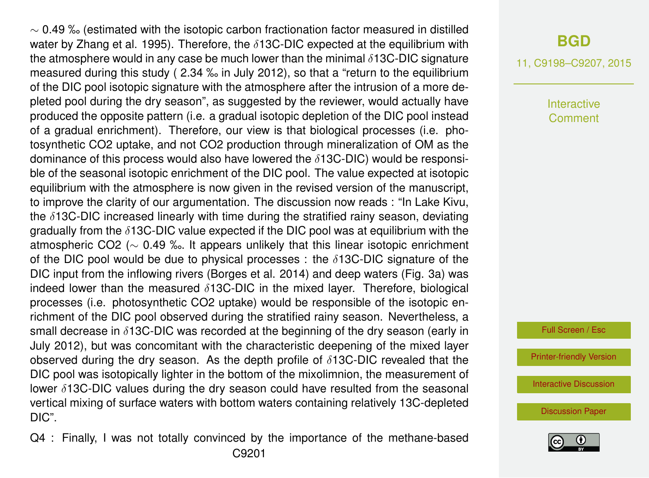$\sim$  0.49 ‰ (estimated with the isotopic carbon fractionation factor measured in distilled water by Zhang et al. 1995). Therefore, the  $\delta$ 13C-DIC expected at the equilibrium with the atmosphere would in any case be much lower than the minimal  $\delta$ 13C-DIC signature measured during this study ( 2.34 ‰ in July 2012), so that a "return to the equilibrium of the DIC pool isotopic signature with the atmosphere after the intrusion of a more depleted pool during the dry season", as suggested by the reviewer, would actually have produced the opposite pattern (i.e. a gradual isotopic depletion of the DIC pool instead of a gradual enrichment). Therefore, our view is that biological processes (i.e. photosynthetic CO2 uptake, and not CO2 production through mineralization of OM as the dominance of this process would also have lowered the  $\delta$ 13C-DIC) would be responsible of the seasonal isotopic enrichment of the DIC pool. The value expected at isotopic equilibrium with the atmosphere is now given in the revised version of the manuscript, to improve the clarity of our argumentation. The discussion now reads : "In Lake Kivu, the  $\delta$ 13C-DIC increased linearly with time during the stratified rainy season, deviating gradually from the  $\delta$ 13C-DIC value expected if the DIC pool was at equilibrium with the atmospheric CO2 (∼ 0.49 ‰. It appears unlikely that this linear isotopic enrichment of the DIC pool would be due to physical processes : the  $\delta$ 13C-DIC signature of the DIC input from the inflowing rivers (Borges et al. 2014) and deep waters (Fig. 3a) was indeed lower than the measured  $\delta$ 13C-DIC in the mixed layer. Therefore, biological processes (i.e. photosynthetic CO2 uptake) would be responsible of the isotopic enrichment of the DIC pool observed during the stratified rainy season. Nevertheless, a small decrease in  $\delta$ 13C-DIC was recorded at the beginning of the dry season (early in July 2012), but was concomitant with the characteristic deepening of the mixed layer observed during the dry season. As the depth profile of  $\delta$ 13C-DIC revealed that the DIC pool was isotopically lighter in the bottom of the mixolimnion, the measurement of lower  $\delta$ 13C-DIC values during the dry season could have resulted from the seasonal vertical mixing of surface waters with bottom waters containing relatively 13C-depleted DIC".

Q4 : Finally, I was not totally convinced by the importance of the methane-based C9201

#### **[BGD](http://www.biogeosciences-discuss.net)**

11, C9198–C9207, 2015

Interactive Comment

Full Screen / Esc

[Printer-friendly Version](http://www.biogeosciences-discuss.net/11/C9198/2015/bgd-11-C9198-2015-print.pdf)

[Interactive Discussion](http://www.biogeosciences-discuss.net/11/17227/2014/bgd-11-17227-2014-discussion.html)

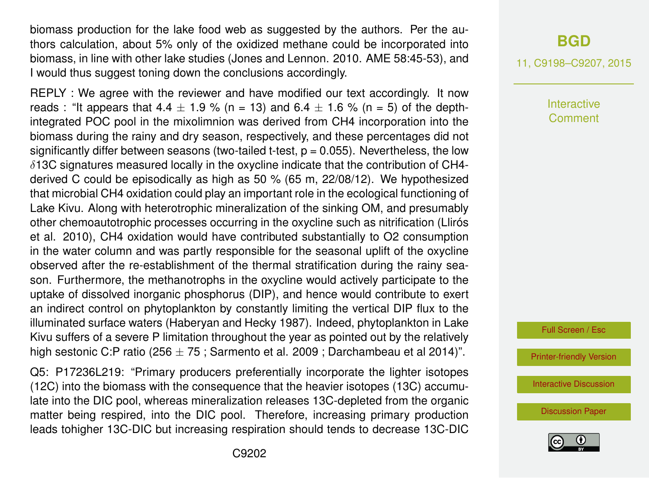biomass production for the lake food web as suggested by the authors. Per the authors calculation, about 5% only of the oxidized methane could be incorporated into biomass, in line with other lake studies (Jones and Lennon. 2010. AME 58:45-53), and I would thus suggest toning down the conclusions accordingly.

REPLY : We agree with the reviewer and have modified our text accordingly. It now reads : "It appears that  $4.4 \pm 1.9$  % (n = 13) and  $6.4 \pm 1.6$  % (n = 5) of the depthintegrated POC pool in the mixolimnion was derived from CH4 incorporation into the biomass during the rainy and dry season, respectively, and these percentages did not significantly differ between seasons (two-tailed t-test,  $p = 0.055$ ). Nevertheless, the low  $\delta$ 13C signatures measured locally in the oxycline indicate that the contribution of CH4derived C could be episodically as high as 50 % (65 m, 22/08/12). We hypothesized that microbial CH4 oxidation could play an important role in the ecological functioning of Lake Kivu. Along with heterotrophic mineralization of the sinking OM, and presumably other chemoautotrophic processes occurring in the oxycline such as nitrification (Llirós et al. 2010), CH4 oxidation would have contributed substantially to O2 consumption in the water column and was partly responsible for the seasonal uplift of the oxycline observed after the re-establishment of the thermal stratification during the rainy season. Furthermore, the methanotrophs in the oxycline would actively participate to the uptake of dissolved inorganic phosphorus (DIP), and hence would contribute to exert an indirect control on phytoplankton by constantly limiting the vertical DIP flux to the illuminated surface waters (Haberyan and Hecky 1987). Indeed, phytoplankton in Lake Kivu suffers of a severe P limitation throughout the year as pointed out by the relatively high sestonic C:P ratio (256  $\pm$  75 ; Sarmento et al. 2009 ; Darchambeau et al 2014)".

Q5: P17236L219: "Primary producers preferentially incorporate the lighter isotopes (12C) into the biomass with the consequence that the heavier isotopes (13C) accumulate into the DIC pool, whereas mineralization releases 13C-depleted from the organic matter being respired, into the DIC pool. Therefore, increasing primary production leads tohigher 13C-DIC but increasing respiration should tends to decrease 13C-DIC

## **[BGD](http://www.biogeosciences-discuss.net)**

11, C9198–C9207, 2015

**Interactive** Comment

Full Screen / Esc

[Printer-friendly Version](http://www.biogeosciences-discuss.net/11/C9198/2015/bgd-11-C9198-2015-print.pdf)

[Interactive Discussion](http://www.biogeosciences-discuss.net/11/17227/2014/bgd-11-17227-2014-discussion.html)

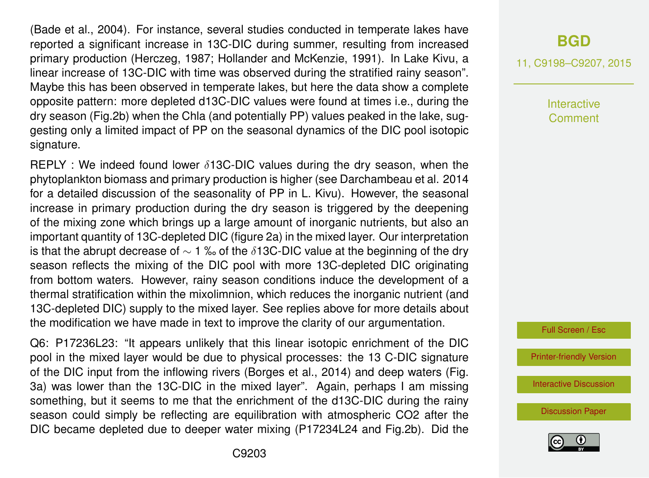(Bade et al., 2004). For instance, several studies conducted in temperate lakes have reported a significant increase in 13C-DIC during summer, resulting from increased primary production (Herczeg, 1987; Hollander and McKenzie, 1991). In Lake Kivu, a linear increase of 13C-DIC with time was observed during the stratified rainy season". Maybe this has been observed in temperate lakes, but here the data show a complete opposite pattern: more depleted d13C-DIC values were found at times i.e., during the dry season (Fig.2b) when the Chla (and potentially PP) values peaked in the lake, suggesting only a limited impact of PP on the seasonal dynamics of the DIC pool isotopic signature.

 $REPLY:$  We indeed found lower  $\delta$ 13C-DIC values during the dry season, when the phytoplankton biomass and primary production is higher (see Darchambeau et al. 2014 for a detailed discussion of the seasonality of PP in L. Kivu). However, the seasonal increase in primary production during the dry season is triggered by the deepening of the mixing zone which brings up a large amount of inorganic nutrients, but also an important quantity of 13C-depleted DIC (figure 2a) in the mixed layer. Our interpretation is that the abrupt decrease of  $\sim$  1 ‰ of the  $\delta$ 13C-DIC value at the beginning of the dry season reflects the mixing of the DIC pool with more 13C-depleted DIC originating from bottom waters. However, rainy season conditions induce the development of a thermal stratification within the mixolimnion, which reduces the inorganic nutrient (and 13C-depleted DIC) supply to the mixed layer. See replies above for more details about the modification we have made in text to improve the clarity of our argumentation.

Q6: P17236L23: "It appears unlikely that this linear isotopic enrichment of the DIC pool in the mixed layer would be due to physical processes: the 13 C-DIC signature of the DIC input from the inflowing rivers (Borges et al., 2014) and deep waters (Fig. 3a) was lower than the 13C-DIC in the mixed layer". Again, perhaps I am missing something, but it seems to me that the enrichment of the d13C-DIC during the rainy season could simply be reflecting are equilibration with atmospheric CO2 after the DIC became depleted due to deeper water mixing (P17234L24 and Fig.2b). Did the

# **[BGD](http://www.biogeosciences-discuss.net)**

11, C9198–C9207, 2015

Interactive Comment



[Printer-friendly Version](http://www.biogeosciences-discuss.net/11/C9198/2015/bgd-11-C9198-2015-print.pdf)

[Interactive Discussion](http://www.biogeosciences-discuss.net/11/17227/2014/bgd-11-17227-2014-discussion.html)

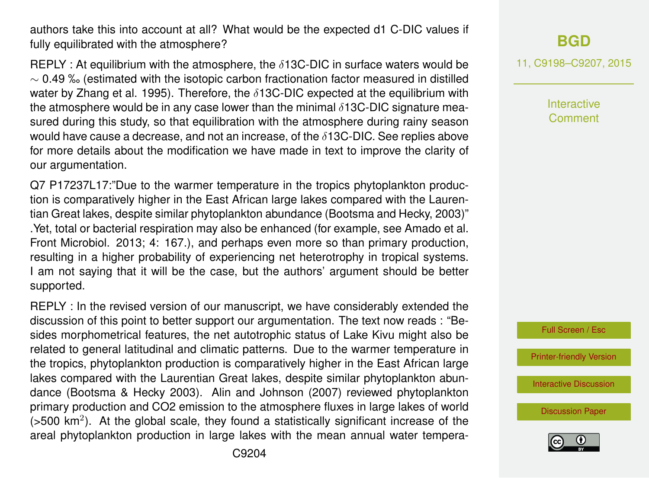authors take this into account at all? What would be the expected d1 C-DIC values if fully equilibrated with the atmosphere?

REPLY : At equilibrium with the atmosphere, the  $\delta$ 13C-DIC in surface waters would be  $\sim$  0.49 ‰ (estimated with the isotopic carbon fractionation factor measured in distilled water by Zhang et al. 1995). Therefore, the  $\delta$ 13C-DIC expected at the equilibrium with the atmosphere would be in any case lower than the minimal  $\delta$ 13C-DIC signature measured during this study, so that equilibration with the atmosphere during rainy season would have cause a decrease, and not an increase, of the  $\delta$ 13C-DIC. See replies above for more details about the modification we have made in text to improve the clarity of our argumentation.

Q7 P17237L17:"Due to the warmer temperature in the tropics phytoplankton production is comparatively higher in the East African large lakes compared with the Laurentian Great lakes, despite similar phytoplankton abundance (Bootsma and Hecky, 2003)" .Yet, total or bacterial respiration may also be enhanced (for example, see Amado et al. Front Microbiol. 2013; 4: 167.), and perhaps even more so than primary production, resulting in a higher probability of experiencing net heterotrophy in tropical systems. I am not saying that it will be the case, but the authors' argument should be better supported.

REPLY : In the revised version of our manuscript, we have considerably extended the discussion of this point to better support our argumentation. The text now reads : "Besides morphometrical features, the net autotrophic status of Lake Kivu might also be related to general latitudinal and climatic patterns. Due to the warmer temperature in the tropics, phytoplankton production is comparatively higher in the East African large lakes compared with the Laurentian Great lakes, despite similar phytoplankton abundance (Bootsma & Hecky 2003). Alin and Johnson (2007) reviewed phytoplankton primary production and CO2 emission to the atmosphere fluxes in large lakes of world  $($ >500 km<sup>2</sup>). At the global scale, they found a statistically significant increase of the areal phytoplankton production in large lakes with the mean annual water tempera-

# **[BGD](http://www.biogeosciences-discuss.net)**

11, C9198–C9207, 2015

Interactive Comment



[Printer-friendly Version](http://www.biogeosciences-discuss.net/11/C9198/2015/bgd-11-C9198-2015-print.pdf)

[Interactive Discussion](http://www.biogeosciences-discuss.net/11/17227/2014/bgd-11-17227-2014-discussion.html)

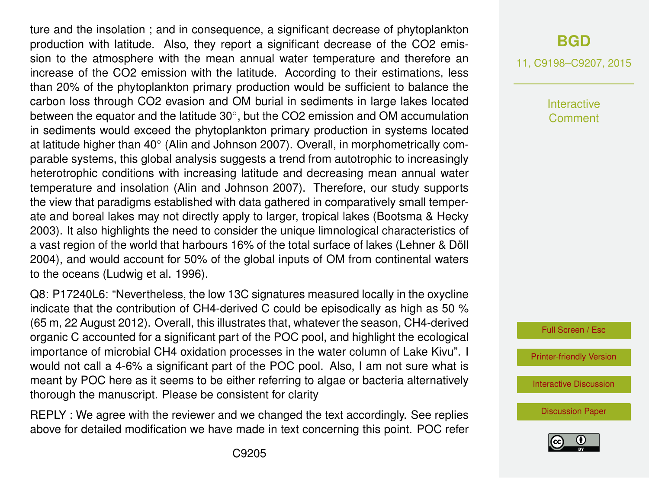ture and the insolation ; and in consequence, a significant decrease of phytoplankton production with latitude. Also, they report a significant decrease of the CO2 emission to the atmosphere with the mean annual water temperature and therefore an increase of the CO2 emission with the latitude. According to their estimations, less than 20% of the phytoplankton primary production would be sufficient to balance the carbon loss through CO2 evasion and OM burial in sediments in large lakes located between the equator and the latitude 30°, but the CO2 emission and OM accumulation in sediments would exceed the phytoplankton primary production in systems located at latitude higher than 40° (Alin and Johnson 2007). Overall, in morphometrically comparable systems, this global analysis suggests a trend from autotrophic to increasingly heterotrophic conditions with increasing latitude and decreasing mean annual water temperature and insolation (Alin and Johnson 2007). Therefore, our study supports the view that paradigms established with data gathered in comparatively small temperate and boreal lakes may not directly apply to larger, tropical lakes (Bootsma & Hecky 2003). It also highlights the need to consider the unique limnological characteristics of a vast region of the world that harbours 16% of the total surface of lakes (Lehner & Döll 2004), and would account for 50% of the global inputs of OM from continental waters to the oceans (Ludwig et al. 1996).

Q8: P17240L6: "Nevertheless, the low 13C signatures measured locally in the oxycline indicate that the contribution of CH4-derived C could be episodically as high as 50 % (65 m, 22 August 2012). Overall, this illustrates that, whatever the season, CH4-derived organic C accounted for a significant part of the POC pool, and highlight the ecological importance of microbial CH4 oxidation processes in the water column of Lake Kivu". I would not call a 4-6% a significant part of the POC pool. Also, I am not sure what is meant by POC here as it seems to be either referring to algae or bacteria alternatively thorough the manuscript. Please be consistent for clarity

REPLY : We agree with the reviewer and we changed the text accordingly. See replies above for detailed modification we have made in text concerning this point. POC refer

# **[BGD](http://www.biogeosciences-discuss.net)**

11, C9198–C9207, 2015

Interactive Comment



[Printer-friendly Version](http://www.biogeosciences-discuss.net/11/C9198/2015/bgd-11-C9198-2015-print.pdf)

[Interactive Discussion](http://www.biogeosciences-discuss.net/11/17227/2014/bgd-11-17227-2014-discussion.html)

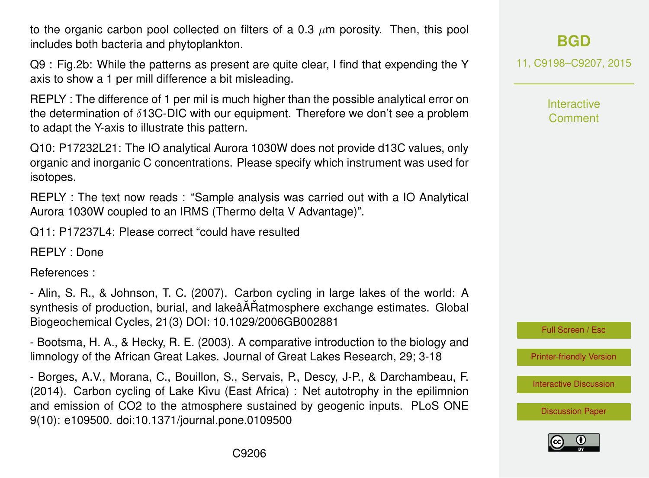to the organic carbon pool collected on filters of a 0.3  $\mu$ m porosity. Then, this pool includes both bacteria and phytoplankton.

Q9 : Fig.2b: While the patterns as present are quite clear, I find that expending the Y axis to show a 1 per mill difference a bit misleading.

REPLY : The difference of 1 per mil is much higher than the possible analytical error on the determination of δ13C-DIC with our equipment. Therefore we don't see a problem to adapt the Y-axis to illustrate this pattern.

Q10: P17232L21: The IO analytical Aurora 1030W does not provide d13C values, only organic and inorganic C concentrations. Please specify which instrument was used for isotopes.

REPLY : The text now reads : "Sample analysis was carried out with a IO Analytical Aurora 1030W coupled to an IRMS (Thermo delta V Advantage)".

Q11: P17237L4: Please correct "could have resulted

REPLY : Done

References :

- Alin, S. R., & Johnson, T. C. (2007). Carbon cycling in large lakes of the world: A synthesis of production, burial, and lakeâĂŘatmosphere exchange estimates. Global Biogeochemical Cycles, 21(3) DOI: 10.1029/2006GB002881

- Bootsma, H. A., & Hecky, R. E. (2003). A comparative introduction to the biology and limnology of the African Great Lakes. Journal of Great Lakes Research, 29; 3-18

- Borges, A.V., Morana, C., Bouillon, S., Servais, P., Descy, J-P., & Darchambeau, F. (2014). Carbon cycling of Lake Kivu (East Africa) : Net autotrophy in the epilimnion and emission of CO2 to the atmosphere sustained by geogenic inputs. PLoS ONE 9(10): e109500. doi:10.1371/journal.pone.0109500

**[BGD](http://www.biogeosciences-discuss.net)**

11, C9198–C9207, 2015

Interactive Comment



[Printer-friendly Version](http://www.biogeosciences-discuss.net/11/C9198/2015/bgd-11-C9198-2015-print.pdf)

[Interactive Discussion](http://www.biogeosciences-discuss.net/11/17227/2014/bgd-11-17227-2014-discussion.html)